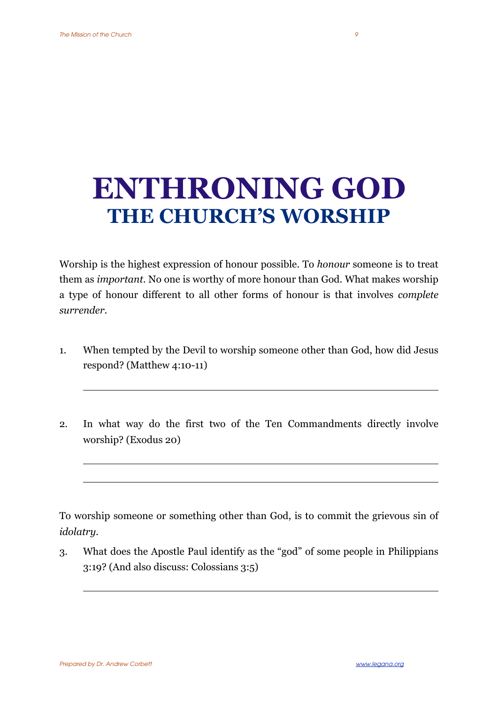## **ENTHRONING GOD THE CHURCH'S WORSHIP**

Worship is the highest expression of honour possible. To *honour* someone is to treat them as *important*. No one is worthy of more honour than God. What makes worship a type of honour different to all other forms of honour is that involves *complete surrender*.

- 1. When tempted by the Devil to worship someone other than God, how did Jesus respond? (Matthew 4:10-11)
- 2. In what way do the first two of the Ten Commandments directly involve worship? (Exodus 20)

To worship someone or something other than God, is to commit the grievous sin of *idolatry.* 

3. What does the Apostle Paul identify as the "god" of some people in Philippians 3:19? (And also discuss: Colossians 3:5)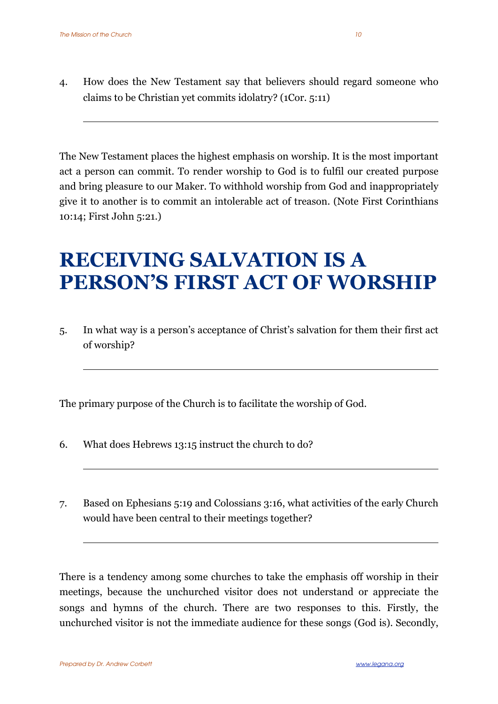4. How does the New Testament say that believers should regard someone who claims to be Christian yet commits idolatry? (1Cor. 5:11)

The New Testament places the highest emphasis on worship. It is the most important act a person can commit. To render worship to God is to fulfil our created purpose and bring pleasure to our Maker. To withhold worship from God and inappropriately give it to another is to commit an intolerable act of treason. (Note First Corinthians 10:14; First John 5:21.)

## **RECEIVING SALVATION IS A PERSON'S FIRST ACT OF WORSHIP**

5. In what way is a person's acceptance of Christ's salvation for them their first act of worship?

The primary purpose of the Church is to facilitate the worship of God.

- 6. What does Hebrews 13:15 instruct the church to do?
- 7. Based on Ephesians 5:19 and Colossians 3:16, what activities of the early Church would have been central to their meetings together?

There is a tendency among some churches to take the emphasis off worship in their meetings, because the unchurched visitor does not understand or appreciate the songs and hymns of the church. There are two responses to this. Firstly, the unchurched visitor is not the immediate audience for these songs (God is). Secondly,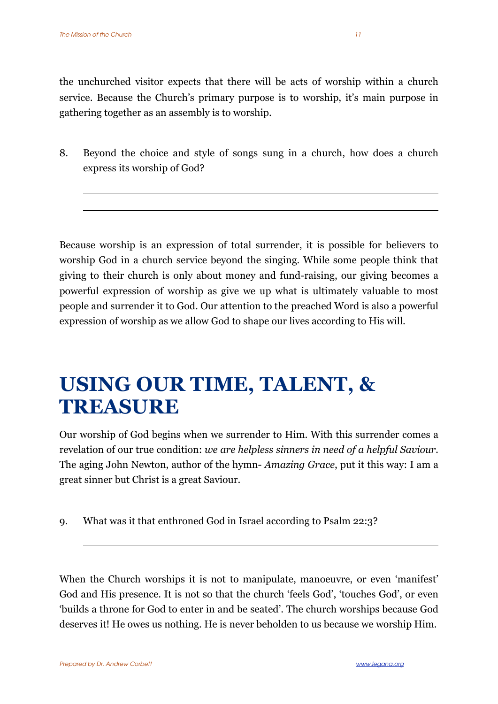the unchurched visitor expects that there will be acts of worship within a church service. Because the Church's primary purpose is to worship, it's main purpose in gathering together as an assembly is to worship.

8. Beyond the choice and style of songs sung in a church, how does a church express its worship of God?

Because worship is an expression of total surrender, it is possible for believers to worship God in a church service beyond the singing. While some people think that giving to their church is only about money and fund-raising, our giving becomes a powerful expression of worship as give we up what is ultimately valuable to most people and surrender it to God. Our attention to the preached Word is also a powerful expression of worship as we allow God to shape our lives according to His will.

## **USING OUR TIME, TALENT, & TREASURE**

Our worship of God begins when we surrender to Him. With this surrender comes a revelation of our true condition: *we are helpless sinners in need of a helpful Saviour.*  The aging John Newton, author of the hymn- *Amazing Grace*, put it this way: I am a great sinner but Christ is a great Saviour.

9. What was it that enthroned God in Israel according to Psalm 22:3?

When the Church worships it is not to manipulate, manoeuvre, or even 'manifest' God and His presence. It is not so that the church 'feels God', 'touches God', or even 'builds a throne for God to enter in and be seated'. The church worships because God deserves it! He owes us nothing. He is never beholden to us because we worship Him.